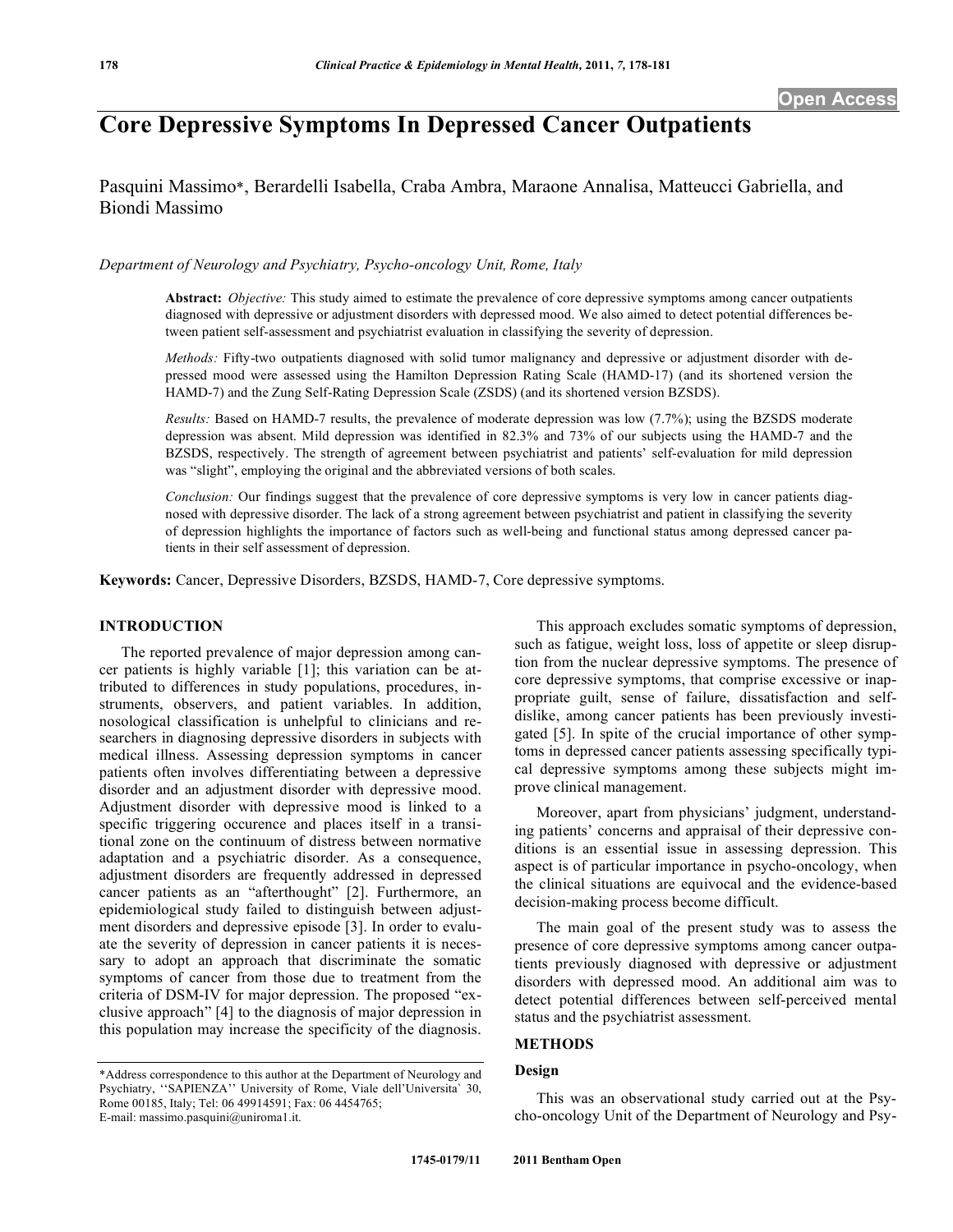# **Core Depressive Symptoms In Depressed Cancer Outpatients**

Pasquini Massimo\*, Berardelli Isabella, Craba Ambra, Maraone Annalisa, Matteucci Gabriella, and Biondi Massimo

*Department of Neurology and Psychiatry, Psycho-oncology Unit, Rome, Italy*

**Abstract:** *Objective:* This study aimed to estimate the prevalence of core depressive symptoms among cancer outpatients diagnosed with depressive or adjustment disorders with depressed mood. We also aimed to detect potential differences between patient self-assessment and psychiatrist evaluation in classifying the severity of depression.

*Methods:* Fifty-two outpatients diagnosed with solid tumor malignancy and depressive or adjustment disorder with depressed mood were assessed using the Hamilton Depression Rating Scale (HAMD-17) (and its shortened version the HAMD-7) and the Zung Self-Rating Depression Scale (ZSDS) (and its shortened version BZSDS).

*Results:* Based on HAMD-7 results, the prevalence of moderate depression was low (7.7%); using the BZSDS moderate depression was absent. Mild depression was identified in 82.3% and 73% of our subjects using the HAMD-7 and the BZSDS, respectively. The strength of agreement between psychiatrist and patients' self-evaluation for mild depression was "slight", employing the original and the abbreviated versions of both scales.

*Conclusion:* Our findings suggest that the prevalence of core depressive symptoms is very low in cancer patients diagnosed with depressive disorder. The lack of a strong agreement between psychiatrist and patient in classifying the severity of depression highlights the importance of factors such as well-being and functional status among depressed cancer patients in their self assessment of depression.

**Keywords:** Cancer, Depressive Disorders, BZSDS, HAMD-7, Core depressive symptoms.

# **INTRODUCTION**

The reported prevalence of major depression among cancer patients is highly variable [1]; this variation can be attributed to differences in study populations, procedures, instruments, observers, and patient variables. In addition, nosological classification is unhelpful to clinicians and researchers in diagnosing depressive disorders in subjects with medical illness. Assessing depression symptoms in cancer patients often involves differentiating between a depressive disorder and an adjustment disorder with depressive mood. Adjustment disorder with depressive mood is linked to a specific triggering occurence and places itself in a transitional zone on the continuum of distress between normative adaptation and a psychiatric disorder. As a consequence, adjustment disorders are frequently addressed in depressed cancer patients as an "afterthought" [2]. Furthermore, an epidemiological study failed to distinguish between adjustment disorders and depressive episode [3]. In order to evaluate the severity of depression in cancer patients it is necessary to adopt an approach that discriminate the somatic symptoms of cancer from those due to treatment from the criteria of DSM-IV for major depression. The proposed "exclusive approach" [4] to the diagnosis of major depression in this population may increase the specificity of the diagnosis.

This approach excludes somatic symptoms of depression, such as fatigue, weight loss, loss of appetite or sleep disruption from the nuclear depressive symptoms. The presence of core depressive symptoms, that comprise excessive or inappropriate guilt, sense of failure, dissatisfaction and selfdislike, among cancer patients has been previously investigated [5]. In spite of the crucial importance of other symptoms in depressed cancer patients assessing specifically typical depressive symptoms among these subjects might improve clinical management.

Moreover, apart from physicians' judgment, understanding patients' concerns and appraisal of their depressive conditions is an essential issue in assessing depression. This aspect is of particular importance in psycho-oncology, when the clinical situations are equivocal and the evidence-based decision-making process become difficult.

The main goal of the present study was to assess the presence of core depressive symptoms among cancer outpatients previously diagnosed with depressive or adjustment disorders with depressed mood. An additional aim was to detect potential differences between self-perceived mental status and the psychiatrist assessment.

# **METHODS**

#### **Design**

This was an observational study carried out at the Psycho-oncology Unit of the Department of Neurology and Psy-

<sup>\*</sup>Address correspondence to this author at the Department of Neurology and Psychiatry, ''SAPIENZA'' University of Rome, Viale dell'Universita` 30, Rome 00185, Italy; Tel: 06 49914591; Fax: 06 4454765; E-mail: massimo.pasquini@uniroma1.it.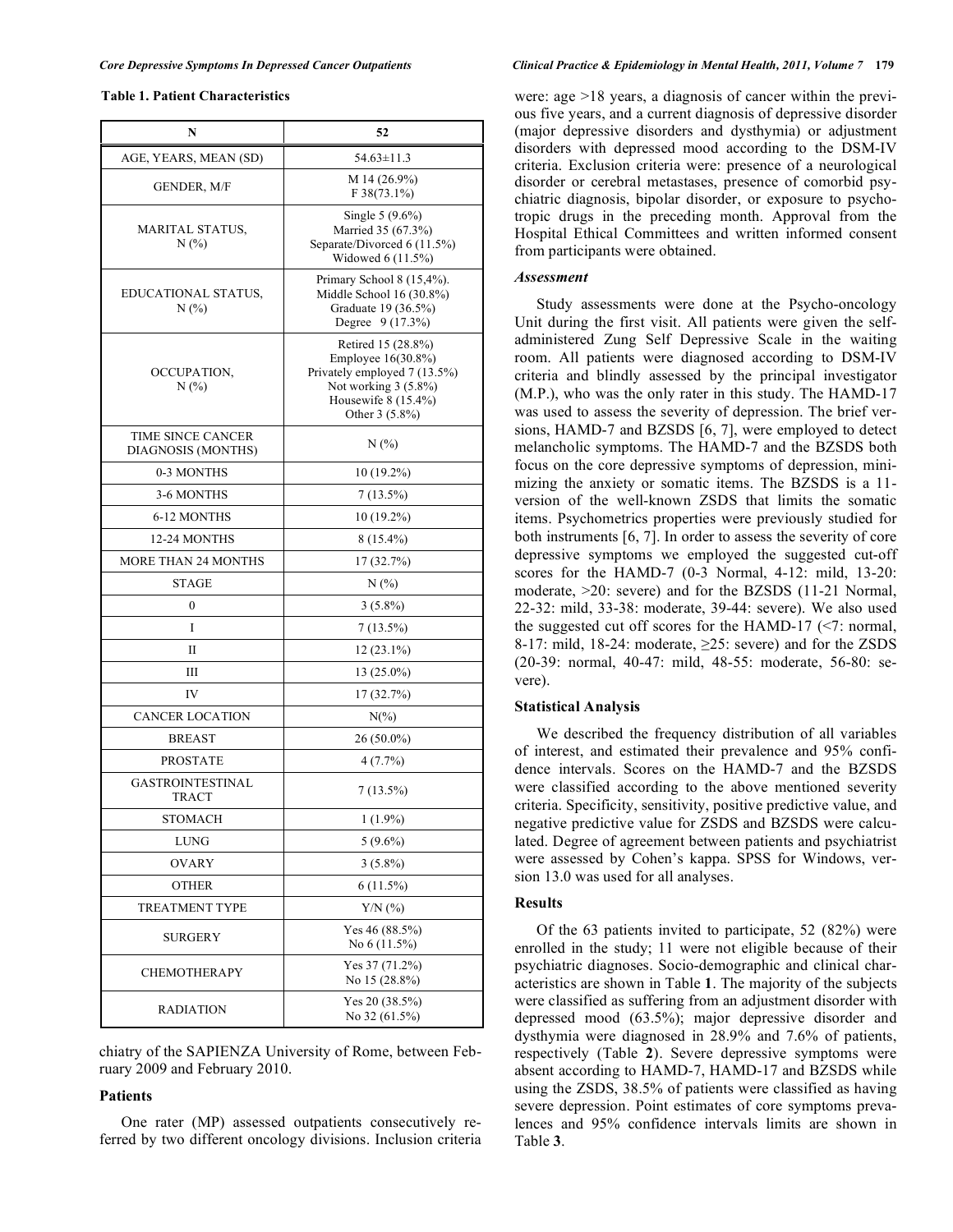# **Table 1. Patient Characteristics**

| N                                       | 52                                                                                                                                          |
|-----------------------------------------|---------------------------------------------------------------------------------------------------------------------------------------------|
| AGE, YEARS, MEAN (SD)                   | $54.63 \pm 11.3$                                                                                                                            |
| GENDER, M/F                             | M 14 (26.9%)<br>$F38(73.1\%)$                                                                                                               |
| MARITAL STATUS,<br>N(%)                 | Single 5 (9.6%)<br>Married 35 (67.3%)<br>Separate/Divorced 6 (11.5%)<br>Widowed 6 (11.5%)                                                   |
| EDUCATIONAL STATUS,<br>N(%)             | Primary School 8 (15,4%).<br>Middle School 16 (30.8%)<br>Graduate 19 (36.5%)<br>Degree 9 (17.3%)                                            |
| OCCUPATION,<br>N(%)                     | Retired 15 (28.8%)<br>Employee 16(30.8%)<br>Privately employed 7 (13.5%)<br>Not working 3 (5.8%)<br>Housewife $8(15.4\%)$<br>Other 3 (5.8%) |
| TIME SINCE CANCER<br>DIAGNOSIS (MONTHS) | N(%)                                                                                                                                        |
| 0-3 MONTHS                              | $10(19.2\%)$                                                                                                                                |
| 3-6 MONTHS                              | $7(13.5\%)$                                                                                                                                 |
| 6-12 MONTHS                             | $10(19.2\%)$                                                                                                                                |
| 12-24 MONTHS                            | $8(15.4\%)$                                                                                                                                 |
| <b>MORE THAN 24 MONTHS</b>              | 17 (32.7%)                                                                                                                                  |
| <b>STAGE</b>                            | N(%)                                                                                                                                        |
| $\boldsymbol{0}$                        | $3(5.8\%)$                                                                                                                                  |
| I                                       | $7(13.5\%)$                                                                                                                                 |
| П                                       | $12(23.1\%)$                                                                                                                                |
| Ш                                       | 13 (25.0%)                                                                                                                                  |
| IV                                      | 17 (32.7%)                                                                                                                                  |
| <b>CANCER LOCATION</b>                  | $N(\%)$                                                                                                                                     |
| <b>BREAST</b>                           | 26 (50.0%)                                                                                                                                  |
| <b>PROSTATE</b>                         | $4(7.7\%)$                                                                                                                                  |
| GASTROINTESTINAL<br><b>TRACT</b>        | $7(13.5\%)$                                                                                                                                 |
| <b>STOMACH</b>                          | $1(1.9\%)$                                                                                                                                  |
| LUNG                                    | $5(9.6\%)$                                                                                                                                  |
| OVARY                                   | $3(5.8\%)$                                                                                                                                  |
| <b>OTHER</b>                            | 6(11.5%)                                                                                                                                    |
| <b>TREATMENT TYPE</b>                   | $Y/N$ $(\%$                                                                                                                                 |
| SURGERY                                 | Yes 46 (88.5%)<br>No 6 (11.5%)                                                                                                              |
| <b>CHEMOTHERAPY</b>                     | Yes 37 (71.2%)<br>No 15 (28.8%)                                                                                                             |
| RADIATION                               | Yes 20 (38.5%)<br>No 32 (61.5%)                                                                                                             |

chiatry of the SAPIENZA University of Rome, between February 2009 and February 2010.

## **Patients**

One rater (MP) assessed outpatients consecutively referred by two different oncology divisions. Inclusion criteria

#### Core Depressive Symptoms In Depressed Cancer Outpatients Clinical Practice & Epidemiology in Mental Health, 2011, Volume 7 179

were: age >18 years, a diagnosis of cancer within the previous five years, and a current diagnosis of depressive disorder (major depressive disorders and dysthymia) or adjustment disorders with depressed mood according to the DSM-IV criteria. Exclusion criteria were: presence of a neurological disorder or cerebral metastases, presence of comorbid psychiatric diagnosis, bipolar disorder, or exposure to psychotropic drugs in the preceding month. Approval from the Hospital Ethical Committees and written informed consent from participants were obtained.

#### *Assessment*

Study assessments were done at the Psycho-oncology Unit during the first visit. All patients were given the selfadministered Zung Self Depressive Scale in the waiting room. All patients were diagnosed according to DSM-IV criteria and blindly assessed by the principal investigator (M.P.), who was the only rater in this study. The HAMD-17 was used to assess the severity of depression. The brief versions, HAMD-7 and BZSDS [6, 7], were employed to detect melancholic symptoms. The HAMD-7 and the BZSDS both focus on the core depressive symptoms of depression, minimizing the anxiety or somatic items. The BZSDS is a 11 version of the well-known ZSDS that limits the somatic items. Psychometrics properties were previously studied for both instruments [6, 7]. In order to assess the severity of core depressive symptoms we employed the suggested cut-off scores for the HAMD-7 (0-3 Normal, 4-12: mild, 13-20: moderate, >20: severe) and for the BZSDS (11-21 Normal, 22-32: mild, 33-38: moderate, 39-44: severe). We also used the suggested cut off scores for the HAMD-17  $(\leq 7:$  normal, 8-17: mild, 18-24: moderate,  $\geq$ 25: severe) and for the ZSDS (20-39: normal, 40-47: mild, 48-55: moderate, 56-80: severe).

# **Statistical Analysis**

We described the frequency distribution of all variables of interest, and estimated their prevalence and 95% confidence intervals. Scores on the HAMD-7 and the BZSDS were classified according to the above mentioned severity criteria. Specificity, sensitivity, positive predictive value, and negative predictive value for ZSDS and BZSDS were calculated. Degree of agreement between patients and psychiatrist were assessed by Cohen's kappa. SPSS for Windows, version 13.0 was used for all analyses.

## **Results**

Of the 63 patients invited to participate, 52 (82%) were enrolled in the study; 11 were not eligible because of their psychiatric diagnoses. Socio-demographic and clinical characteristics are shown in Table **1**. The majority of the subjects were classified as suffering from an adjustment disorder with depressed mood (63.5%); major depressive disorder and dysthymia were diagnosed in 28.9% and 7.6% of patients, respectively (Table **2**). Severe depressive symptoms were absent according to HAMD-7, HAMD-17 and BZSDS while using the ZSDS, 38.5% of patients were classified as having severe depression. Point estimates of core symptoms prevalences and 95% confidence intervals limits are shown in Table **3**.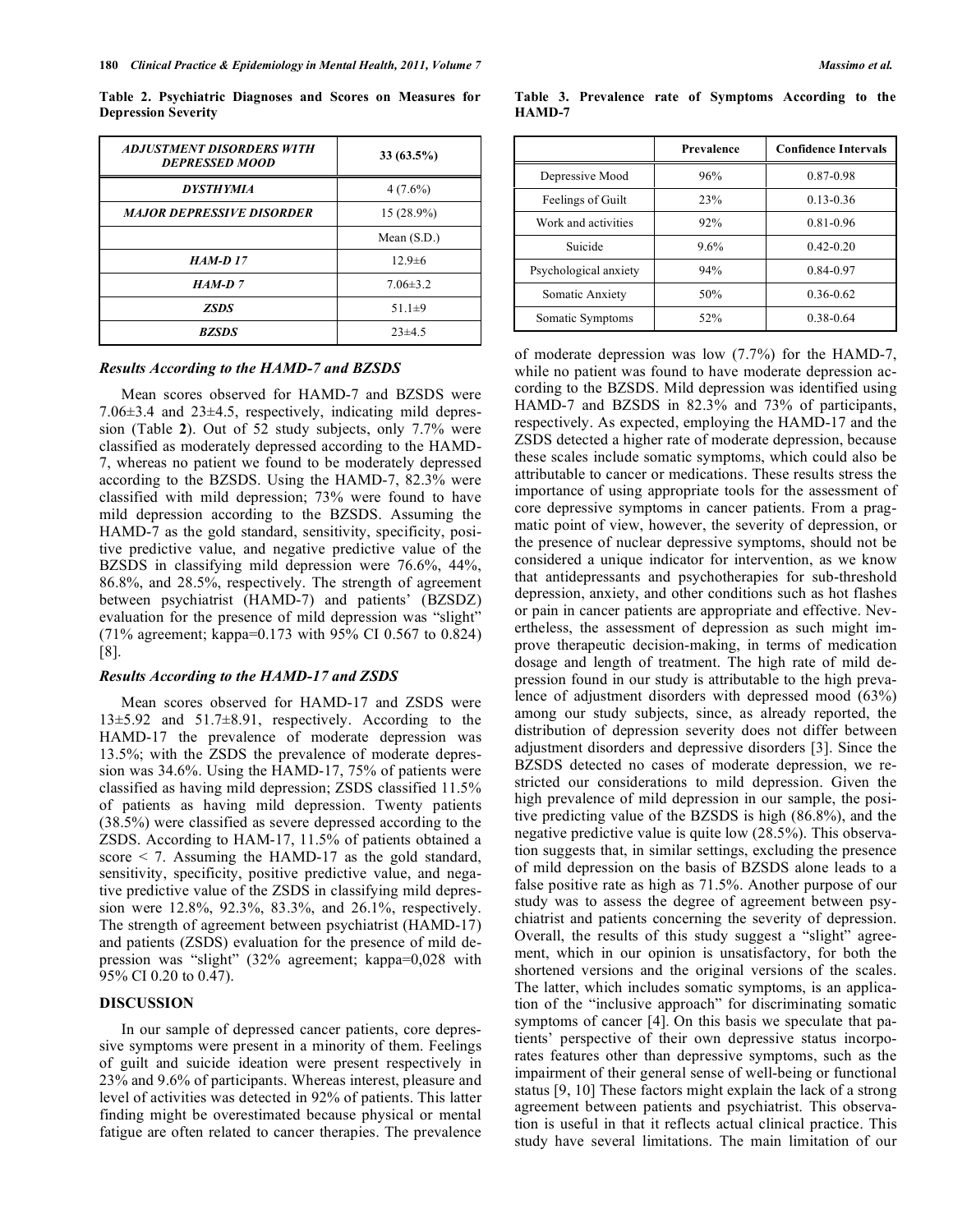**Table 2. Psychiatric Diagnoses and Scores on Measures for Depression Severity**

| ADJUSTMENT DISORDERS WITH<br><b>DEPRESSED MOOD</b> | $33(63.5\%)$  |
|----------------------------------------------------|---------------|
| <b>DYSTHYMIA</b>                                   | $4(7.6\%)$    |
| <b>MAJOR DEPRESSIVE DISORDER</b>                   | $15(28.9\%)$  |
|                                                    | Mean $(S.D.)$ |
| <b>HAM-D17</b>                                     | $12.9\pm 6$   |
| $HAM-D 7$                                          | $7.06\pm3.2$  |
| <b>ZSDS</b>                                        | 51.1 $\pm$ 9  |
| <b>BZSDS</b>                                       | $23\pm 4.5$   |

#### *Results According to the HAMD-7 and BZSDS*

Mean scores observed for HAMD-7 and BZSDS were 7.06±3.4 and 23±4.5, respectively, indicating mild depression (Table **2**). Out of 52 study subjects, only 7.7% were classified as moderately depressed according to the HAMD-7, whereas no patient we found to be moderately depressed according to the BZSDS. Using the HAMD-7, 82.3% were classified with mild depression; 73% were found to have mild depression according to the BZSDS. Assuming the HAMD-7 as the gold standard, sensitivity, specificity, positive predictive value, and negative predictive value of the BZSDS in classifying mild depression were 76.6%, 44%, 86.8%, and 28.5%, respectively. The strength of agreement between psychiatrist (HAMD-7) and patients' (BZSDZ) evaluation for the presence of mild depression was "slight" (71% agreement; kappa=0.173 with 95% CI 0.567 to 0.824)  $|8|$ .

#### *Results According to the HAMD-17 and ZSDS*

Mean scores observed for HAMD-17 and ZSDS were 13±5.92 and 51.7±8.91, respectively. According to the HAMD-17 the prevalence of moderate depression was 13.5%; with the ZSDS the prevalence of moderate depression was 34.6%. Using the HAMD-17, 75% of patients were classified as having mild depression; ZSDS classified 11.5% of patients as having mild depression. Twenty patients (38.5%) were classified as severe depressed according to the ZSDS. According to HAM-17, 11.5% of patients obtained a score  $\leq$  7. Assuming the HAMD-17 as the gold standard, sensitivity, specificity, positive predictive value, and negative predictive value of the ZSDS in classifying mild depression were 12.8%, 92.3%, 83.3%, and 26.1%, respectively. The strength of agreement between psychiatrist (HAMD-17) and patients (ZSDS) evaluation for the presence of mild depression was "slight" (32% agreement; kappa=0,028 with 95% CI 0.20 to 0.47).

#### **DISCUSSION**

In our sample of depressed cancer patients, core depressive symptoms were present in a minority of them. Feelings of guilt and suicide ideation were present respectively in 23% and 9.6% of participants. Whereas interest, pleasure and level of activities was detected in 92% of patients. This latter finding might be overestimated because physical or mental fatigue are often related to cancer therapies. The prevalence

**HAMD-7 Prevalence Confidence Intervals**

**Table 3. Prevalence rate of Symptoms According to the**

|                       | Prevalence | <b>Confidence Intervals</b> |
|-----------------------|------------|-----------------------------|
| Depressive Mood       | 96%        | 0.87-0.98                   |
| Feelings of Guilt     | 23%        | $0.13 - 0.36$               |
| Work and activities   | 92%        | 0.81-0.96                   |
| Suicide               | $9.6\%$    | $0.42 - 0.20$               |
| Psychological anxiety | 94%        | 0.84-0.97                   |
| Somatic Anxiety       | 50%        | $0.36 - 0.62$               |
| Somatic Symptoms      | 52%        | 0.38-0.64                   |

of moderate depression was low (7.7%) for the HAMD-7, while no patient was found to have moderate depression according to the BZSDS. Mild depression was identified using HAMD-7 and BZSDS in 82.3% and 73% of participants, respectively. As expected, employing the HAMD-17 and the ZSDS detected a higher rate of moderate depression, because these scales include somatic symptoms, which could also be attributable to cancer or medications. These results stress the importance of using appropriate tools for the assessment of core depressive symptoms in cancer patients. From a pragmatic point of view, however, the severity of depression, or the presence of nuclear depressive symptoms, should not be considered a unique indicator for intervention, as we know that antidepressants and psychotherapies for sub-threshold depression, anxiety, and other conditions such as hot flashes or pain in cancer patients are appropriate and effective. Nevertheless, the assessment of depression as such might improve therapeutic decision-making, in terms of medication dosage and length of treatment. The high rate of mild depression found in our study is attributable to the high prevalence of adjustment disorders with depressed mood (63%) among our study subjects, since, as already reported, the distribution of depression severity does not differ between adjustment disorders and depressive disorders [3]. Since the BZSDS detected no cases of moderate depression, we restricted our considerations to mild depression. Given the high prevalence of mild depression in our sample, the positive predicting value of the BZSDS is high (86.8%), and the negative predictive value is quite low (28.5%). This observation suggests that, in similar settings, excluding the presence of mild depression on the basis of BZSDS alone leads to a false positive rate as high as 71.5%. Another purpose of our study was to assess the degree of agreement between psychiatrist and patients concerning the severity of depression. Overall, the results of this study suggest a "slight" agreement, which in our opinion is unsatisfactory, for both the shortened versions and the original versions of the scales. The latter, which includes somatic symptoms, is an application of the "inclusive approach" for discriminating somatic symptoms of cancer [4]. On this basis we speculate that patients' perspective of their own depressive status incorporates features other than depressive symptoms, such as the impairment of their general sense of well-being or functional status [9, 10] These factors might explain the lack of a strong agreement between patients and psychiatrist. This observation is useful in that it reflects actual clinical practice. This study have several limitations. The main limitation of our